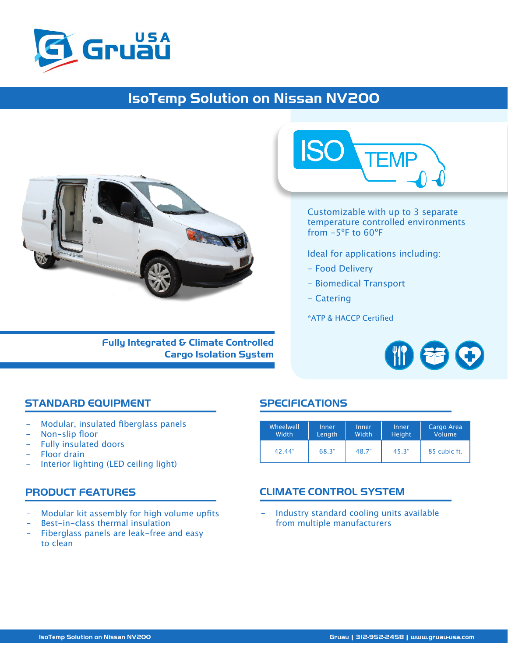

## IsoTemp Solution on Nissan NV200



Fully Integrated & Climate Controlled Cargo Isolation System



Customizable with up to 3 separate temperature controlled environments from -5ºF to 60ºF

Ideal for applications including:

- Food Delivery
- Biomedical Transport
- Catering

\*ATP & HACCP Certified



#### STANDARD EQUIPMENT SPECIFICATIONS

- Modular, insulated fiberglass panels
- Non-slip floor
- Fully insulated doors
- Floor drain
- Interior lighting (LED ceiling light)

- Modular kit assembly for high volume upfits
- Best-in-class thermal insulation
- Fiberglass panels are leak-free and easy to clean

| Wheelwell | Inner  | Inner | Inner  | Cargo Area    |
|-----------|--------|-------|--------|---------------|
| Width     | Length | Width | Height | <b>Volume</b> |
| 42.44"    | 68.3"  | 48.7" | 45.3"  | 85 cubic ft.  |

### PRODUCT FEATURES CLIMATE CONTROL SYSTEM

Industry standard cooling units available from multiple manufacturers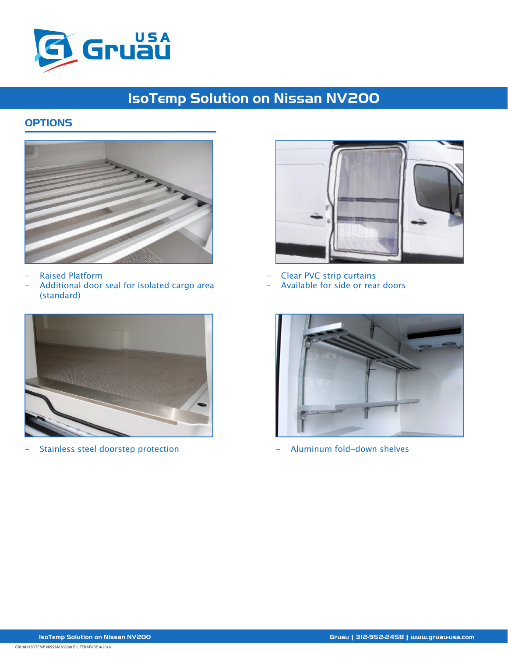

# IsoTemp Solution on Nissan NV200

### **OPTIONS**



- Raised Platform
- Additional door seal for isolated cargo area (standard)



Stainless steel doorstep protection **Aluminum fold-down shelves** - Aluminum fold-down shelves



- Clear PVC strip curtains - Available for side or rear doors

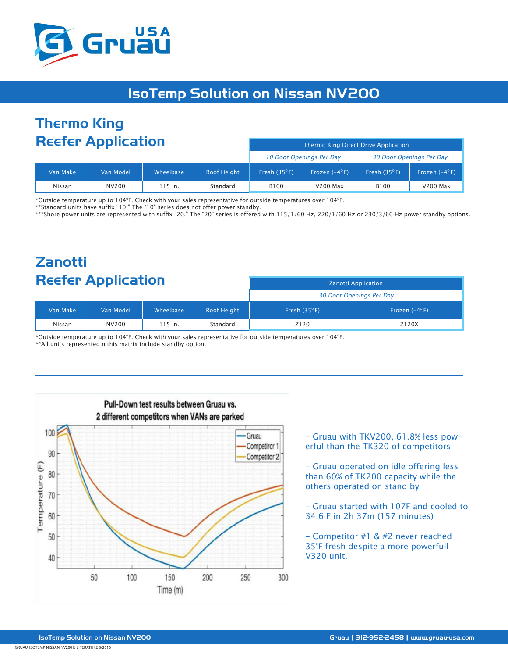

## IsoTemp Solution on Nissan NV200

## Thermo King Reefer Application

| <b>INCERT Application</b> |           |           | Thermo King Direct Drive Application |                       |                          |                       |                        |
|---------------------------|-----------|-----------|--------------------------------------|-----------------------|--------------------------|-----------------------|------------------------|
|                           |           |           | 10 Door Openings Per Day             |                       | 30 Door Openings Per Day |                       |                        |
| Van Make                  | Van Model | Wheelbase | <b>Roof Height</b>                   | Fresh $(35^{\circ}F)$ | Frozen $(-4^{\circ}F)$   | Fresh $(35^{\circ}F)$ | Frozen $(-4^{\circ}F)$ |
| Nissan                    | NV200     | 115 in.   | Standard                             | B <sub>100</sub>      | <b>V200 Max</b>          | <b>B100</b>           | <b>V200 Max</b>        |

\*Outside temperature up to 104°F. Check with your sales representative for outside temperatures over 104°F.

\*\*Standard units have suffix "10." The "10" series does not offer power standby.

\*\*\*Shore power units are represented with suffix "20." The "20" series is offered with 115/1/60 Hz, 220/1/60 Hz or 230/3/60 Hz power standby options.

## Zanotti Reefer Application

|          |           |           |                    | 30 Door Openings Per Day |                        |  |
|----------|-----------|-----------|--------------------|--------------------------|------------------------|--|
| Van Make | Van Model | Wheelbase | <b>Roof Height</b> | Fresh $(35^{\circ}F)$    | Frozen $(-4^{\circ}F)$ |  |
| Nissan   | NV200     | `15 in.   | Standard           | Z120                     | Z120X                  |  |

\*Outside temperature up to 104°F. Check with your sales representative for outside temperatures over 104°F. \*\*All units represented n this matrix include standby option.



- Gruau with TKV200, 61.8% less powerful than the TK320 of competitors

Zanotti Application

- Gruau operated on idle offering less than 60% of TK200 capacity while the others operated on stand by

- Gruau started with 107F and cooled to 34.6 F in 2h 37m (157 minutes)

- Competitor #1 & #2 never reached 35°F fresh despite a more powerfull V320 unit.